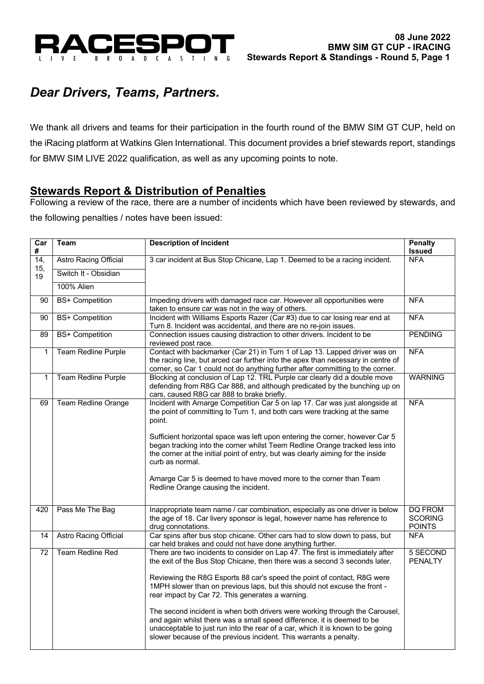

# *Dear Drivers, Teams, Partners.*

We thank all drivers and teams for their participation in the fourth round of the BMW SIM GT CUP, held on the iRacing platform at Watkins Glen International. This document provides a brief stewards report, standings for BMW SIM LIVE 2022 qualification, as well as any upcoming points to note.

## **Stewards Report & Distribution of Penalties**

Following a review of the race, there are a number of incidents which have been reviewed by stewards, and the following penalties / notes have been issued:

| $\overline{\text{Car}}$<br># | <b>Team</b>                  | <b>Description of Incident</b>                                                                                              | <b>Penalty</b><br><b>Issued</b> |  |  |
|------------------------------|------------------------------|-----------------------------------------------------------------------------------------------------------------------------|---------------------------------|--|--|
| 14,                          | <b>Astro Racing Official</b> | 3 car incident at Bus Stop Chicane, Lap 1. Deemed to be a racing incident.                                                  | <b>NFA</b>                      |  |  |
| 15,<br>19                    | Switch It - Obsidian         |                                                                                                                             |                                 |  |  |
|                              | 100% Alien                   |                                                                                                                             |                                 |  |  |
| 90                           | <b>BS+ Competition</b>       | Impeding drivers with damaged race car. However all opportunities were<br>taken to ensure car was not in the way of others. | <b>NFA</b>                      |  |  |
| 90                           | <b>BS+ Competition</b>       | Incident with Williams Esports Razer (Car #3) due to car losing rear end at                                                 | <b>NFA</b>                      |  |  |
|                              |                              | Turn 8. Incident was accidental, and there are no re-join issues.                                                           |                                 |  |  |
| 89                           | <b>BS+ Competition</b>       | Connection issues causing distraction to other drivers. Incident to be                                                      | <b>PENDING</b>                  |  |  |
|                              |                              | reviewed post race.                                                                                                         |                                 |  |  |
| $\mathbf{1}$                 | <b>Team Redline Purple</b>   | Contact with backmarker (Car 21) in Turn 1 of Lap 13. Lapped driver was on                                                  | <b>NFA</b>                      |  |  |
|                              |                              | the racing line, but arced car further into the apex than necessary in centre of                                            |                                 |  |  |
|                              |                              | corner, so Car 1 could not do anything further after committing to the corner.                                              |                                 |  |  |
| 1                            | Team Redline Purple          | Blocking at conclusion of Lap 12. TRL Purple car clearly did a double move                                                  | <b>WARNING</b>                  |  |  |
|                              |                              | defending from R8G Car 888, and although predicated by the bunching up on                                                   |                                 |  |  |
|                              |                              | cars, caused R8G car 888 to brake briefly.                                                                                  |                                 |  |  |
| 69                           | <b>Team Redline Orange</b>   | Incident with Arnarge Competition Car 5 on lap 17. Car was just alongside at                                                | <b>NFA</b>                      |  |  |
|                              |                              | the point of committing to Turn 1, and both cars were tracking at the same                                                  |                                 |  |  |
|                              |                              | point.                                                                                                                      |                                 |  |  |
|                              |                              |                                                                                                                             |                                 |  |  |
|                              |                              | Sufficient horizontal space was left upon entering the corner, however Car 5                                                |                                 |  |  |
|                              |                              | began tracking into the corner whilst Teem Redline Orange tracked less into                                                 |                                 |  |  |
|                              |                              | the corner at the initial point of entry, but was clearly aiming for the inside                                             |                                 |  |  |
|                              |                              | curb as normal.                                                                                                             |                                 |  |  |
|                              |                              | Arnarge Car 5 is deemed to have moved more to the corner than Team                                                          |                                 |  |  |
|                              |                              | Redline Orange causing the incident.                                                                                        |                                 |  |  |
|                              |                              |                                                                                                                             |                                 |  |  |
|                              |                              |                                                                                                                             |                                 |  |  |
| 420                          | Pass Me The Bag              | Inappropriate team name / car combination, especially as one driver is below                                                | <b>DQ FROM</b>                  |  |  |
|                              |                              | the age of 18. Car livery sponsor is legal, however name has reference to                                                   | <b>SCORING</b>                  |  |  |
|                              |                              | drug connotations.                                                                                                          | <b>POINTS</b>                   |  |  |
| 14                           | <b>Astro Racing Official</b> | Car spins after bus stop chicane. Other cars had to slow down to pass, but                                                  | <b>NFA</b>                      |  |  |
|                              | <b>Team Redline Red</b>      | car held brakes and could not have done anything further.                                                                   |                                 |  |  |
| 72                           |                              | There are two incidents to consider on Lap 47. The first is immediately after                                               | 5 SECOND                        |  |  |
|                              |                              | the exit of the Bus Stop Chicane, then there was a second 3 seconds later.                                                  | <b>PENALTY</b>                  |  |  |
|                              |                              | Reviewing the R8G Esports 88 car's speed the point of contact, R8G were                                                     |                                 |  |  |
|                              |                              | 1MPH slower than on previous laps, but this should not excuse the front -                                                   |                                 |  |  |
|                              |                              | rear impact by Car 72. This generates a warning.                                                                            |                                 |  |  |
|                              |                              |                                                                                                                             |                                 |  |  |
|                              |                              | The second incident is when both drivers were working through the Carousel,                                                 |                                 |  |  |
|                              |                              | and again whilst there was a small speed difference, it is deemed to be                                                     |                                 |  |  |
|                              |                              | unacceptable to just run into the rear of a car, which it is known to be going                                              |                                 |  |  |
|                              |                              | slower because of the previous incident. This warrants a penalty.                                                           |                                 |  |  |
|                              |                              |                                                                                                                             |                                 |  |  |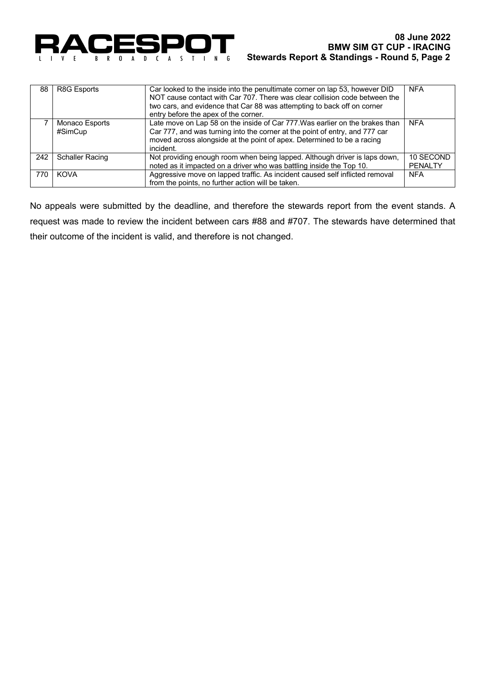

| 88  | R8G Esports                      | Car looked to the inside into the penultimate corner on lap 53, however DID<br>NOT cause contact with Car 707. There was clear collision code between the<br>two cars, and evidence that Car 88 was attempting to back off on corner<br>entry before the apex of the corner. | <b>NFA</b>                  |
|-----|----------------------------------|------------------------------------------------------------------------------------------------------------------------------------------------------------------------------------------------------------------------------------------------------------------------------|-----------------------------|
|     | <b>Monaco Esports</b><br>#SimCup | Late move on Lap 58 on the inside of Car 777. Was earlier on the brakes than<br>Car 777, and was turning into the corner at the point of entry, and 777 car<br>moved across alongside at the point of apex. Determined to be a racing<br>incident.                           | <b>NFA</b>                  |
| 242 | <b>Schaller Racing</b>           | Not providing enough room when being lapped. Although driver is laps down,<br>noted as it impacted on a driver who was battling inside the Top 10.                                                                                                                           | 10 SECOND<br><b>PENALTY</b> |
| 770 | <b>KOVA</b>                      | Aggressive move on lapped traffic. As incident caused self inflicted removal<br>from the points, no further action will be taken.                                                                                                                                            | <b>NFA</b>                  |

No appeals were submitted by the deadline, and therefore the stewards report from the event stands. A request was made to review the incident between cars #88 and #707. The stewards have determined that their outcome of the incident is valid, and therefore is not changed.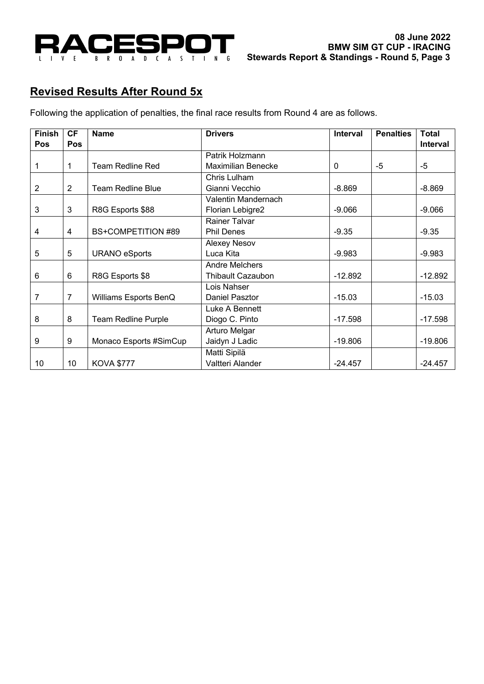

# **Revised Results After Round 5x**

Following the application of penalties, the final race results from Round 4 are as follows.

| <b>Finish</b> | <b>CF</b>      | <b>Name</b>                | <b>Drivers</b>            | Interval     | <b>Penalties</b> | <b>Total</b> |
|---------------|----------------|----------------------------|---------------------------|--------------|------------------|--------------|
| Pos           | <b>Pos</b>     |                            |                           |              |                  | Interval     |
|               |                |                            | Patrik Holzmann           |              |                  |              |
| 1             | 1              | <b>Team Redline Red</b>    | <b>Maximilian Benecke</b> | $\mathbf{0}$ | -5               | -5           |
|               |                |                            | Chris Lulham              |              |                  |              |
| 2             | $\overline{2}$ | <b>Team Redline Blue</b>   | Gianni Vecchio            | $-8.869$     |                  | $-8.869$     |
|               |                |                            | Valentin Mandernach       |              |                  |              |
| 3             | 3              | R8G Esports \$88           | Florian Lebigre2          | $-9.066$     |                  | $-9.066$     |
|               |                |                            | Rainer Talvar             |              |                  |              |
| 4             | $\overline{4}$ | <b>BS+COMPETITION #89</b>  | <b>Phil Denes</b>         | $-9.35$      |                  | $-9.35$      |
|               |                |                            | <b>Alexey Nesov</b>       |              |                  |              |
| 5             | 5              | <b>URANO eSports</b>       | Luca Kita                 | $-9.983$     |                  | $-9.983$     |
|               |                |                            | <b>Andre Melchers</b>     |              |                  |              |
| 6             | 6              | R8G Esports \$8            | <b>Thibault Cazaubon</b>  | $-12.892$    |                  | $-12.892$    |
|               |                |                            | Lois Nahser               |              |                  |              |
| 7             | $\overline{7}$ | Williams Esports BenQ      | Daniel Pasztor            | $-15.03$     |                  | $-15.03$     |
|               |                |                            | Luke A Bennett            |              |                  |              |
| 8             | 8              | <b>Team Redline Purple</b> | Diogo C. Pinto            | $-17.598$    |                  | $-17.598$    |
|               |                |                            | Arturo Melgar             |              |                  |              |
| 9             | 9              | Monaco Esports #SimCup     | Jaidyn J Ladic            | $-19.806$    |                  | $-19.806$    |
|               |                |                            | Matti Sipilä              |              |                  |              |
| 10            | 10             | <b>KOVA \$777</b>          | Valtteri Alander          | $-24.457$    |                  | $-24.457$    |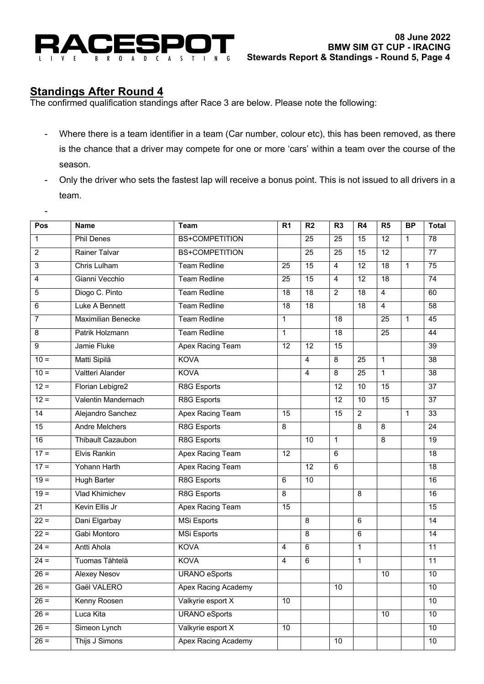

## **Standings After Round 4**

-

The confirmed qualification standings after Race 3 are below. Please note the following:

- Where there is a team identifier in a team (Car number, colour etc), this has been removed, as there is the chance that a driver may compete for one or more 'cars' within a team over the course of the season.
- Only the driver who sets the fastest lap will receive a bonus point. This is not issued to all drivers in a team.

| 78<br><b>Phil Denes</b><br><b>BS+COMPETITION</b><br>$\overline{25}$<br>$\overline{25}$<br>$\overline{15}$<br>$\overline{12}$<br>$\mathbf{1}$<br>$\mathbf{1}$<br>$\overline{2}$<br>Rainer Talvar<br><b>BS+COMPETITION</b><br>$\overline{77}$<br>$\overline{25}$<br>$\overline{15}$<br>$\overline{12}$<br>25<br>$\overline{3}$<br>Chris Lulham<br><b>Team Redline</b><br>$\overline{15}$<br>$\overline{4}$<br>$\overline{12}$<br>$\overline{18}$<br>$\overline{75}$<br>25<br>$\mathbf{1}$<br>Gianni Vecchio<br><b>Team Redline</b><br>74<br>$\overline{15}$<br>$\overline{4}$<br>$\overline{12}$<br>$\overline{18}$<br>$\overline{4}$<br>25<br>Diogo C. Pinto<br><b>Team Redline</b><br>18<br>$\overline{2}$<br>$\overline{4}$<br>5<br>$\overline{18}$<br>$\overline{18}$<br>60<br>Luke A Bennett<br><b>Team Redline</b><br>$\overline{18}$<br>18<br>$\overline{4}$<br>58<br>6<br>18<br>$\overline{7}$<br><b>Maximilian Benecke</b><br><b>Team Redline</b><br>45<br>$\mathbf{1}$<br>18<br>25<br>$\mathbf{1}$<br>Patrik Holzmann<br><b>Team Redline</b><br>8<br>$\overline{18}$<br>$\overline{25}$<br>44<br>$\mathbf{1}$<br>Jamie Fluke<br>15<br>$\overline{9}$<br>Apex Racing Team<br>$\overline{12}$<br>$\overline{12}$<br>$\overline{39}$<br><b>KOVA</b><br>Matti Sipilä<br>38<br>$10 =$<br>$\overline{8}$<br>$\overline{25}$<br>$\mathbf 1$<br>$\overline{4}$<br>$10 =$<br>Valtteri Alander<br><b>KOVA</b><br>$\overline{8}$<br>$\overline{25}$<br>$\mathbf{1}$<br>$\overline{38}$<br>$\overline{4}$<br>$12 =$<br>Florian Lebigre2<br>R8G Esports<br>12<br>37<br>10<br>$\overline{15}$<br>Valentin Mandernach<br>$\overline{12}$<br>$\overline{37}$<br>$12 =$<br>R8G Esports<br>10<br>15<br>Apex Racing Team<br>$\overline{2}$<br>33<br>$\overline{14}$<br>Alejandro Sanchez<br>$\overline{15}$<br>$\overline{15}$<br>$\mathbf{1}$<br>R8G Esports<br>15<br><b>Andre Melchers</b><br>$\overline{8}$<br>$\overline{8}$<br>$\overline{24}$<br>8<br><b>Thibault Cazaubon</b><br>R8G Esports<br>$\overline{8}$<br>16<br>10<br>$\mathbf{1}$<br>$\overline{19}$<br>$17 =$<br><b>Elvis Rankin</b><br><b>Apex Racing Team</b><br>18<br>$\overline{12}$<br>$\overline{6}$<br>$17 =$<br>Yohann Harth<br>Apex Racing Team<br>$\overline{12}$<br>$\overline{6}$<br>$\overline{18}$<br>$19 =$<br>R8G Esports<br><b>Hugh Barter</b><br>10<br>16<br>6<br>$19 =$<br>Vlad Khimichev<br>R8G Esports<br>16<br>$\overline{8}$<br>8<br>Kevin Ellis Jr<br>Apex Racing Team<br>15<br>15<br>$\overline{21}$<br>$22 =$<br><b>MSi Esports</b><br>Dani Elgarbay<br>$\overline{8}$<br>$\overline{6}$<br>$\overline{14}$<br><b>MSi Esports</b><br>6<br>$22 =$<br>Gabi Montoro<br>$\overline{8}$<br>$\overline{14}$<br>$24 =$<br>Antti Ahola<br><b>KOVA</b><br>$\mathbf{1}$<br>$6\phantom{1}6$<br>11<br>$\overline{4}$<br>Tuomas Tähtelä<br>$24 =$<br><b>KOVA</b><br>$\overline{6}$<br>$\overline{1}$<br>$\overline{11}$<br>$\overline{4}$<br><b>URANO</b> eSports<br>$26 =$<br><b>Alexey Nesov</b><br>10<br>10<br>Gaël VALERO<br>$26 =$<br>Apex Racing Academy<br>10<br>10<br>$26 =$<br>Kenny Roosen<br>10<br>Valkyrie esport X<br>10<br>$26 =$<br><b>URANO</b> eSports<br>Luca Kita<br>10<br>10<br>$26 =$<br>Valkyrie esport X<br>Simeon Lynch<br>10<br>10<br>$26 =$<br>Thijs J Simons<br>Apex Racing Academy<br>10<br>10 | Pos | Name | <b>Team</b> | R <sub>1</sub> | R <sub>2</sub> | R <sub>3</sub> | R <sub>4</sub> | R5 | <b>BP</b> | <b>Total</b> |
|-----------------------------------------------------------------------------------------------------------------------------------------------------------------------------------------------------------------------------------------------------------------------------------------------------------------------------------------------------------------------------------------------------------------------------------------------------------------------------------------------------------------------------------------------------------------------------------------------------------------------------------------------------------------------------------------------------------------------------------------------------------------------------------------------------------------------------------------------------------------------------------------------------------------------------------------------------------------------------------------------------------------------------------------------------------------------------------------------------------------------------------------------------------------------------------------------------------------------------------------------------------------------------------------------------------------------------------------------------------------------------------------------------------------------------------------------------------------------------------------------------------------------------------------------------------------------------------------------------------------------------------------------------------------------------------------------------------------------------------------------------------------------------------------------------------------------------------------------------------------------------------------------------------------------------------------------------------------------------------------------------------------------------------------------------------------------------------------------------------------------------------------------------------------------------------------------------------------------------------------------------------------------------------------------------------------------------------------------------------------------------------------------------------------------------------------------------------------------------------------------------------------------------------------------------------------------------------------------------------------------------------------------------------------------------------------------------------------------------------------------------------------------------------------------------------------------------------------------------------------------------------------------------------------------------------------------------------------------------------------------------------------------------------------------------------------------------------------------------------------------------------------------------------------------------------------------------------------------------------------------------------------------------------------------|-----|------|-------------|----------------|----------------|----------------|----------------|----|-----------|--------------|
|                                                                                                                                                                                                                                                                                                                                                                                                                                                                                                                                                                                                                                                                                                                                                                                                                                                                                                                                                                                                                                                                                                                                                                                                                                                                                                                                                                                                                                                                                                                                                                                                                                                                                                                                                                                                                                                                                                                                                                                                                                                                                                                                                                                                                                                                                                                                                                                                                                                                                                                                                                                                                                                                                                                                                                                                                                                                                                                                                                                                                                                                                                                                                                                                                                                                                               |     |      |             |                |                |                |                |    |           |              |
|                                                                                                                                                                                                                                                                                                                                                                                                                                                                                                                                                                                                                                                                                                                                                                                                                                                                                                                                                                                                                                                                                                                                                                                                                                                                                                                                                                                                                                                                                                                                                                                                                                                                                                                                                                                                                                                                                                                                                                                                                                                                                                                                                                                                                                                                                                                                                                                                                                                                                                                                                                                                                                                                                                                                                                                                                                                                                                                                                                                                                                                                                                                                                                                                                                                                                               |     |      |             |                |                |                |                |    |           |              |
|                                                                                                                                                                                                                                                                                                                                                                                                                                                                                                                                                                                                                                                                                                                                                                                                                                                                                                                                                                                                                                                                                                                                                                                                                                                                                                                                                                                                                                                                                                                                                                                                                                                                                                                                                                                                                                                                                                                                                                                                                                                                                                                                                                                                                                                                                                                                                                                                                                                                                                                                                                                                                                                                                                                                                                                                                                                                                                                                                                                                                                                                                                                                                                                                                                                                                               |     |      |             |                |                |                |                |    |           |              |
|                                                                                                                                                                                                                                                                                                                                                                                                                                                                                                                                                                                                                                                                                                                                                                                                                                                                                                                                                                                                                                                                                                                                                                                                                                                                                                                                                                                                                                                                                                                                                                                                                                                                                                                                                                                                                                                                                                                                                                                                                                                                                                                                                                                                                                                                                                                                                                                                                                                                                                                                                                                                                                                                                                                                                                                                                                                                                                                                                                                                                                                                                                                                                                                                                                                                                               |     |      |             |                |                |                |                |    |           |              |
|                                                                                                                                                                                                                                                                                                                                                                                                                                                                                                                                                                                                                                                                                                                                                                                                                                                                                                                                                                                                                                                                                                                                                                                                                                                                                                                                                                                                                                                                                                                                                                                                                                                                                                                                                                                                                                                                                                                                                                                                                                                                                                                                                                                                                                                                                                                                                                                                                                                                                                                                                                                                                                                                                                                                                                                                                                                                                                                                                                                                                                                                                                                                                                                                                                                                                               |     |      |             |                |                |                |                |    |           |              |
|                                                                                                                                                                                                                                                                                                                                                                                                                                                                                                                                                                                                                                                                                                                                                                                                                                                                                                                                                                                                                                                                                                                                                                                                                                                                                                                                                                                                                                                                                                                                                                                                                                                                                                                                                                                                                                                                                                                                                                                                                                                                                                                                                                                                                                                                                                                                                                                                                                                                                                                                                                                                                                                                                                                                                                                                                                                                                                                                                                                                                                                                                                                                                                                                                                                                                               |     |      |             |                |                |                |                |    |           |              |
|                                                                                                                                                                                                                                                                                                                                                                                                                                                                                                                                                                                                                                                                                                                                                                                                                                                                                                                                                                                                                                                                                                                                                                                                                                                                                                                                                                                                                                                                                                                                                                                                                                                                                                                                                                                                                                                                                                                                                                                                                                                                                                                                                                                                                                                                                                                                                                                                                                                                                                                                                                                                                                                                                                                                                                                                                                                                                                                                                                                                                                                                                                                                                                                                                                                                                               |     |      |             |                |                |                |                |    |           |              |
|                                                                                                                                                                                                                                                                                                                                                                                                                                                                                                                                                                                                                                                                                                                                                                                                                                                                                                                                                                                                                                                                                                                                                                                                                                                                                                                                                                                                                                                                                                                                                                                                                                                                                                                                                                                                                                                                                                                                                                                                                                                                                                                                                                                                                                                                                                                                                                                                                                                                                                                                                                                                                                                                                                                                                                                                                                                                                                                                                                                                                                                                                                                                                                                                                                                                                               |     |      |             |                |                |                |                |    |           |              |
|                                                                                                                                                                                                                                                                                                                                                                                                                                                                                                                                                                                                                                                                                                                                                                                                                                                                                                                                                                                                                                                                                                                                                                                                                                                                                                                                                                                                                                                                                                                                                                                                                                                                                                                                                                                                                                                                                                                                                                                                                                                                                                                                                                                                                                                                                                                                                                                                                                                                                                                                                                                                                                                                                                                                                                                                                                                                                                                                                                                                                                                                                                                                                                                                                                                                                               |     |      |             |                |                |                |                |    |           |              |
|                                                                                                                                                                                                                                                                                                                                                                                                                                                                                                                                                                                                                                                                                                                                                                                                                                                                                                                                                                                                                                                                                                                                                                                                                                                                                                                                                                                                                                                                                                                                                                                                                                                                                                                                                                                                                                                                                                                                                                                                                                                                                                                                                                                                                                                                                                                                                                                                                                                                                                                                                                                                                                                                                                                                                                                                                                                                                                                                                                                                                                                                                                                                                                                                                                                                                               |     |      |             |                |                |                |                |    |           |              |
|                                                                                                                                                                                                                                                                                                                                                                                                                                                                                                                                                                                                                                                                                                                                                                                                                                                                                                                                                                                                                                                                                                                                                                                                                                                                                                                                                                                                                                                                                                                                                                                                                                                                                                                                                                                                                                                                                                                                                                                                                                                                                                                                                                                                                                                                                                                                                                                                                                                                                                                                                                                                                                                                                                                                                                                                                                                                                                                                                                                                                                                                                                                                                                                                                                                                                               |     |      |             |                |                |                |                |    |           |              |
|                                                                                                                                                                                                                                                                                                                                                                                                                                                                                                                                                                                                                                                                                                                                                                                                                                                                                                                                                                                                                                                                                                                                                                                                                                                                                                                                                                                                                                                                                                                                                                                                                                                                                                                                                                                                                                                                                                                                                                                                                                                                                                                                                                                                                                                                                                                                                                                                                                                                                                                                                                                                                                                                                                                                                                                                                                                                                                                                                                                                                                                                                                                                                                                                                                                                                               |     |      |             |                |                |                |                |    |           |              |
|                                                                                                                                                                                                                                                                                                                                                                                                                                                                                                                                                                                                                                                                                                                                                                                                                                                                                                                                                                                                                                                                                                                                                                                                                                                                                                                                                                                                                                                                                                                                                                                                                                                                                                                                                                                                                                                                                                                                                                                                                                                                                                                                                                                                                                                                                                                                                                                                                                                                                                                                                                                                                                                                                                                                                                                                                                                                                                                                                                                                                                                                                                                                                                                                                                                                                               |     |      |             |                |                |                |                |    |           |              |
|                                                                                                                                                                                                                                                                                                                                                                                                                                                                                                                                                                                                                                                                                                                                                                                                                                                                                                                                                                                                                                                                                                                                                                                                                                                                                                                                                                                                                                                                                                                                                                                                                                                                                                                                                                                                                                                                                                                                                                                                                                                                                                                                                                                                                                                                                                                                                                                                                                                                                                                                                                                                                                                                                                                                                                                                                                                                                                                                                                                                                                                                                                                                                                                                                                                                                               |     |      |             |                |                |                |                |    |           |              |
|                                                                                                                                                                                                                                                                                                                                                                                                                                                                                                                                                                                                                                                                                                                                                                                                                                                                                                                                                                                                                                                                                                                                                                                                                                                                                                                                                                                                                                                                                                                                                                                                                                                                                                                                                                                                                                                                                                                                                                                                                                                                                                                                                                                                                                                                                                                                                                                                                                                                                                                                                                                                                                                                                                                                                                                                                                                                                                                                                                                                                                                                                                                                                                                                                                                                                               |     |      |             |                |                |                |                |    |           |              |
|                                                                                                                                                                                                                                                                                                                                                                                                                                                                                                                                                                                                                                                                                                                                                                                                                                                                                                                                                                                                                                                                                                                                                                                                                                                                                                                                                                                                                                                                                                                                                                                                                                                                                                                                                                                                                                                                                                                                                                                                                                                                                                                                                                                                                                                                                                                                                                                                                                                                                                                                                                                                                                                                                                                                                                                                                                                                                                                                                                                                                                                                                                                                                                                                                                                                                               |     |      |             |                |                |                |                |    |           |              |
|                                                                                                                                                                                                                                                                                                                                                                                                                                                                                                                                                                                                                                                                                                                                                                                                                                                                                                                                                                                                                                                                                                                                                                                                                                                                                                                                                                                                                                                                                                                                                                                                                                                                                                                                                                                                                                                                                                                                                                                                                                                                                                                                                                                                                                                                                                                                                                                                                                                                                                                                                                                                                                                                                                                                                                                                                                                                                                                                                                                                                                                                                                                                                                                                                                                                                               |     |      |             |                |                |                |                |    |           |              |
|                                                                                                                                                                                                                                                                                                                                                                                                                                                                                                                                                                                                                                                                                                                                                                                                                                                                                                                                                                                                                                                                                                                                                                                                                                                                                                                                                                                                                                                                                                                                                                                                                                                                                                                                                                                                                                                                                                                                                                                                                                                                                                                                                                                                                                                                                                                                                                                                                                                                                                                                                                                                                                                                                                                                                                                                                                                                                                                                                                                                                                                                                                                                                                                                                                                                                               |     |      |             |                |                |                |                |    |           |              |
|                                                                                                                                                                                                                                                                                                                                                                                                                                                                                                                                                                                                                                                                                                                                                                                                                                                                                                                                                                                                                                                                                                                                                                                                                                                                                                                                                                                                                                                                                                                                                                                                                                                                                                                                                                                                                                                                                                                                                                                                                                                                                                                                                                                                                                                                                                                                                                                                                                                                                                                                                                                                                                                                                                                                                                                                                                                                                                                                                                                                                                                                                                                                                                                                                                                                                               |     |      |             |                |                |                |                |    |           |              |
|                                                                                                                                                                                                                                                                                                                                                                                                                                                                                                                                                                                                                                                                                                                                                                                                                                                                                                                                                                                                                                                                                                                                                                                                                                                                                                                                                                                                                                                                                                                                                                                                                                                                                                                                                                                                                                                                                                                                                                                                                                                                                                                                                                                                                                                                                                                                                                                                                                                                                                                                                                                                                                                                                                                                                                                                                                                                                                                                                                                                                                                                                                                                                                                                                                                                                               |     |      |             |                |                |                |                |    |           |              |
|                                                                                                                                                                                                                                                                                                                                                                                                                                                                                                                                                                                                                                                                                                                                                                                                                                                                                                                                                                                                                                                                                                                                                                                                                                                                                                                                                                                                                                                                                                                                                                                                                                                                                                                                                                                                                                                                                                                                                                                                                                                                                                                                                                                                                                                                                                                                                                                                                                                                                                                                                                                                                                                                                                                                                                                                                                                                                                                                                                                                                                                                                                                                                                                                                                                                                               |     |      |             |                |                |                |                |    |           |              |
|                                                                                                                                                                                                                                                                                                                                                                                                                                                                                                                                                                                                                                                                                                                                                                                                                                                                                                                                                                                                                                                                                                                                                                                                                                                                                                                                                                                                                                                                                                                                                                                                                                                                                                                                                                                                                                                                                                                                                                                                                                                                                                                                                                                                                                                                                                                                                                                                                                                                                                                                                                                                                                                                                                                                                                                                                                                                                                                                                                                                                                                                                                                                                                                                                                                                                               |     |      |             |                |                |                |                |    |           |              |
|                                                                                                                                                                                                                                                                                                                                                                                                                                                                                                                                                                                                                                                                                                                                                                                                                                                                                                                                                                                                                                                                                                                                                                                                                                                                                                                                                                                                                                                                                                                                                                                                                                                                                                                                                                                                                                                                                                                                                                                                                                                                                                                                                                                                                                                                                                                                                                                                                                                                                                                                                                                                                                                                                                                                                                                                                                                                                                                                                                                                                                                                                                                                                                                                                                                                                               |     |      |             |                |                |                |                |    |           |              |
|                                                                                                                                                                                                                                                                                                                                                                                                                                                                                                                                                                                                                                                                                                                                                                                                                                                                                                                                                                                                                                                                                                                                                                                                                                                                                                                                                                                                                                                                                                                                                                                                                                                                                                                                                                                                                                                                                                                                                                                                                                                                                                                                                                                                                                                                                                                                                                                                                                                                                                                                                                                                                                                                                                                                                                                                                                                                                                                                                                                                                                                                                                                                                                                                                                                                                               |     |      |             |                |                |                |                |    |           |              |
|                                                                                                                                                                                                                                                                                                                                                                                                                                                                                                                                                                                                                                                                                                                                                                                                                                                                                                                                                                                                                                                                                                                                                                                                                                                                                                                                                                                                                                                                                                                                                                                                                                                                                                                                                                                                                                                                                                                                                                                                                                                                                                                                                                                                                                                                                                                                                                                                                                                                                                                                                                                                                                                                                                                                                                                                                                                                                                                                                                                                                                                                                                                                                                                                                                                                                               |     |      |             |                |                |                |                |    |           |              |
|                                                                                                                                                                                                                                                                                                                                                                                                                                                                                                                                                                                                                                                                                                                                                                                                                                                                                                                                                                                                                                                                                                                                                                                                                                                                                                                                                                                                                                                                                                                                                                                                                                                                                                                                                                                                                                                                                                                                                                                                                                                                                                                                                                                                                                                                                                                                                                                                                                                                                                                                                                                                                                                                                                                                                                                                                                                                                                                                                                                                                                                                                                                                                                                                                                                                                               |     |      |             |                |                |                |                |    |           |              |
|                                                                                                                                                                                                                                                                                                                                                                                                                                                                                                                                                                                                                                                                                                                                                                                                                                                                                                                                                                                                                                                                                                                                                                                                                                                                                                                                                                                                                                                                                                                                                                                                                                                                                                                                                                                                                                                                                                                                                                                                                                                                                                                                                                                                                                                                                                                                                                                                                                                                                                                                                                                                                                                                                                                                                                                                                                                                                                                                                                                                                                                                                                                                                                                                                                                                                               |     |      |             |                |                |                |                |    |           |              |
|                                                                                                                                                                                                                                                                                                                                                                                                                                                                                                                                                                                                                                                                                                                                                                                                                                                                                                                                                                                                                                                                                                                                                                                                                                                                                                                                                                                                                                                                                                                                                                                                                                                                                                                                                                                                                                                                                                                                                                                                                                                                                                                                                                                                                                                                                                                                                                                                                                                                                                                                                                                                                                                                                                                                                                                                                                                                                                                                                                                                                                                                                                                                                                                                                                                                                               |     |      |             |                |                |                |                |    |           |              |
|                                                                                                                                                                                                                                                                                                                                                                                                                                                                                                                                                                                                                                                                                                                                                                                                                                                                                                                                                                                                                                                                                                                                                                                                                                                                                                                                                                                                                                                                                                                                                                                                                                                                                                                                                                                                                                                                                                                                                                                                                                                                                                                                                                                                                                                                                                                                                                                                                                                                                                                                                                                                                                                                                                                                                                                                                                                                                                                                                                                                                                                                                                                                                                                                                                                                                               |     |      |             |                |                |                |                |    |           |              |
|                                                                                                                                                                                                                                                                                                                                                                                                                                                                                                                                                                                                                                                                                                                                                                                                                                                                                                                                                                                                                                                                                                                                                                                                                                                                                                                                                                                                                                                                                                                                                                                                                                                                                                                                                                                                                                                                                                                                                                                                                                                                                                                                                                                                                                                                                                                                                                                                                                                                                                                                                                                                                                                                                                                                                                                                                                                                                                                                                                                                                                                                                                                                                                                                                                                                                               |     |      |             |                |                |                |                |    |           |              |
|                                                                                                                                                                                                                                                                                                                                                                                                                                                                                                                                                                                                                                                                                                                                                                                                                                                                                                                                                                                                                                                                                                                                                                                                                                                                                                                                                                                                                                                                                                                                                                                                                                                                                                                                                                                                                                                                                                                                                                                                                                                                                                                                                                                                                                                                                                                                                                                                                                                                                                                                                                                                                                                                                                                                                                                                                                                                                                                                                                                                                                                                                                                                                                                                                                                                                               |     |      |             |                |                |                |                |    |           |              |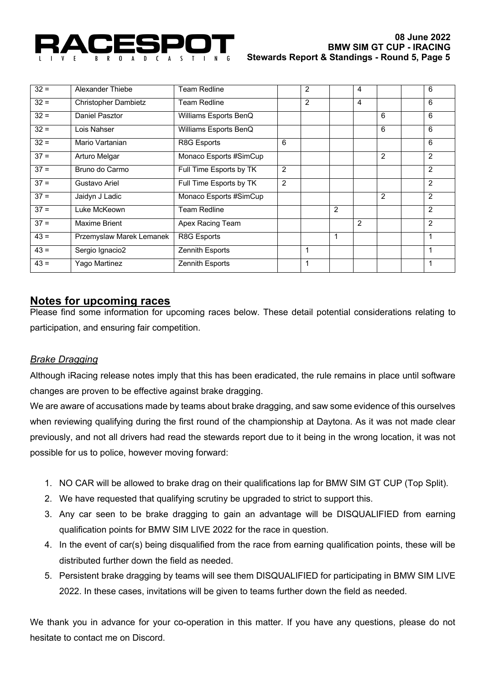

| $32 =$ | Alexander Thiebe            | <b>Team Redline</b>     |                | $\overline{2}$ |   | 4              |   | 6              |
|--------|-----------------------------|-------------------------|----------------|----------------|---|----------------|---|----------------|
| $32 =$ | <b>Christopher Dambietz</b> | <b>Team Redline</b>     |                | 2              |   | 4              |   | 6              |
| $32 =$ | Daniel Pasztor              | Williams Esports BenQ   |                |                |   |                | 6 | 6              |
| $32 =$ | Lois Nahser                 | Williams Esports BenQ   |                |                |   |                | 6 | 6              |
| $32 =$ | Mario Vartanian             | R8G Esports             | 6              |                |   |                |   | 6              |
| $37 =$ | Arturo Melgar               | Monaco Esports #SimCup  |                |                |   |                | 2 | 2              |
| $37 =$ | Bruno do Carmo              | Full Time Esports by TK | 2              |                |   |                |   | $\overline{2}$ |
| $37 =$ | Gustavo Ariel               | Full Time Esports by TK | $\overline{2}$ |                |   |                |   | $\overline{2}$ |
| $37 =$ | Jaidyn J Ladic              | Monaco Esports #SimCup  |                |                |   |                | 2 | $\overline{2}$ |
| $37 =$ | Luke McKeown                | <b>Team Redline</b>     |                |                | 2 |                |   | 2              |
| $37 =$ | Maxime Brient               | Apex Racing Team        |                |                |   | $\overline{2}$ |   | $\overline{2}$ |
| $43 =$ | Przemyslaw Marek Lemanek    | R8G Esports             |                |                | 1 |                |   | 1              |
| $43 =$ | Sergio Ignacio2             | Zennith Esports         |                | 1              |   |                |   | 1              |
| $43 =$ | Yago Martinez               | Zennith Esports         |                | 1              |   |                |   | 1              |

## **Notes for upcoming races**

Please find some information for upcoming races below. These detail potential considerations relating to participation, and ensuring fair competition.

### *Brake Dragging*

Although iRacing release notes imply that this has been eradicated, the rule remains in place until software changes are proven to be effective against brake dragging.

We are aware of accusations made by teams about brake dragging, and saw some evidence of this ourselves when reviewing qualifying during the first round of the championship at Daytona. As it was not made clear previously, and not all drivers had read the stewards report due to it being in the wrong location, it was not possible for us to police, however moving forward:

- 1. NO CAR will be allowed to brake drag on their qualifications lap for BMW SIM GT CUP (Top Split).
- 2. We have requested that qualifying scrutiny be upgraded to strict to support this.
- 3. Any car seen to be brake dragging to gain an advantage will be DISQUALIFIED from earning qualification points for BMW SIM LIVE 2022 for the race in question.
- 4. In the event of car(s) being disqualified from the race from earning qualification points, these will be distributed further down the field as needed.
- 5. Persistent brake dragging by teams will see them DISQUALIFIED for participating in BMW SIM LIVE 2022. In these cases, invitations will be given to teams further down the field as needed.

We thank you in advance for your co-operation in this matter. If you have any questions, please do not hesitate to contact me on Discord.